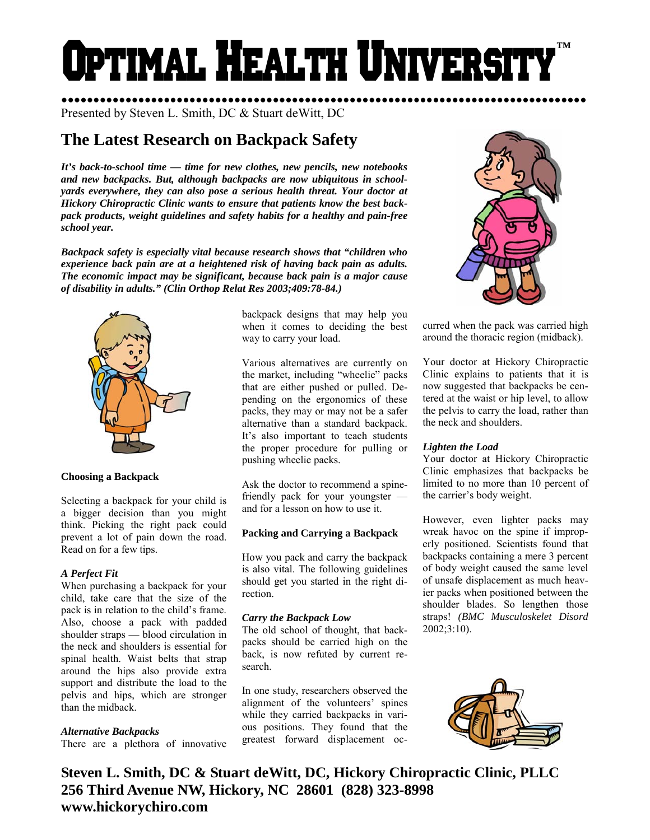# Optimal Health Universi **™**

●●●●●●●●●●●●●●●●●●●●●●●●●●●●●●●●●●●●●●●●●●●●●●●●●●●●●●●●●●●●●●●●●●●●●●●●●●●●●●●●●● Presented by Steven L. Smith, DC & Stuart deWitt, DC

# **The Latest Research on Backpack Safety**

*It's back-to-school time — time for new clothes, new pencils, new notebooks and new backpacks. But, although backpacks are now ubiquitous in schoolyards everywhere, they can also pose a serious health threat. Your doctor at Hickory Chiropractic Clinic wants to ensure that patients know the best backpack products, weight guidelines and safety habits for a healthy and pain-free school year.* 

*Backpack safety is especially vital because research shows that "children who experience back pain are at a heightened risk of having back pain as adults. The economic impact may be significant, because back pain is a major cause of disability in adults." (Clin Orthop Relat Res 2003;409:78-84.)* 



# **Choosing a Backpack**

Selecting a backpack for your child is a bigger decision than you might think. Picking the right pack could prevent a lot of pain down the road. Read on for a few tips.

# *A Perfect Fit*

When purchasing a backpack for your child, take care that the size of the pack is in relation to the child's frame. Also, choose a pack with padded shoulder straps — blood circulation in the neck and shoulders is essential for spinal health. Waist belts that strap around the hips also provide extra support and distribute the load to the pelvis and hips, which are stronger than the midback.

# *Alternative Backpacks*

There are a plethora of innovative

backpack designs that may help you when it comes to deciding the best way to carry your load.

Various alternatives are currently on the market, including "wheelie" packs that are either pushed or pulled. Depending on the ergonomics of these packs, they may or may not be a safer alternative than a standard backpack. It's also important to teach students the proper procedure for pulling or pushing wheelie packs.

Ask the doctor to recommend a spinefriendly pack for your youngster and for a lesson on how to use it.

# **Packing and Carrying a Backpack**

How you pack and carry the backpack is also vital. The following guidelines should get you started in the right direction.

# *Carry the Backpack Low*

The old school of thought, that backpacks should be carried high on the back, is now refuted by current research.

In one study, researchers observed the alignment of the volunteers' spines while they carried backpacks in various positions. They found that the greatest forward displacement oc-



curred when the pack was carried high around the thoracic region (midback).

Your doctor at Hickory Chiropractic Clinic explains to patients that it is now suggested that backpacks be centered at the waist or hip level, to allow the pelvis to carry the load, rather than the neck and shoulders.

# *Lighten the Load*

Your doctor at Hickory Chiropractic Clinic emphasizes that backpacks be limited to no more than 10 percent of the carrier's body weight.

However, even lighter packs may wreak havoc on the spine if improperly positioned. Scientists found that backpacks containing a mere 3 percent of body weight caused the same level of unsafe displacement as much heavier packs when positioned between the shoulder blades. So lengthen those straps! *(BMC Musculoskelet Disord*  2002;3:10).



**Steven L. Smith, DC & Stuart deWitt, DC, Hickory Chiropractic Clinic, PLLC 256 Third Avenue NW, Hickory, NC 28601 (828) 323-8998 www.hickorychiro.com**